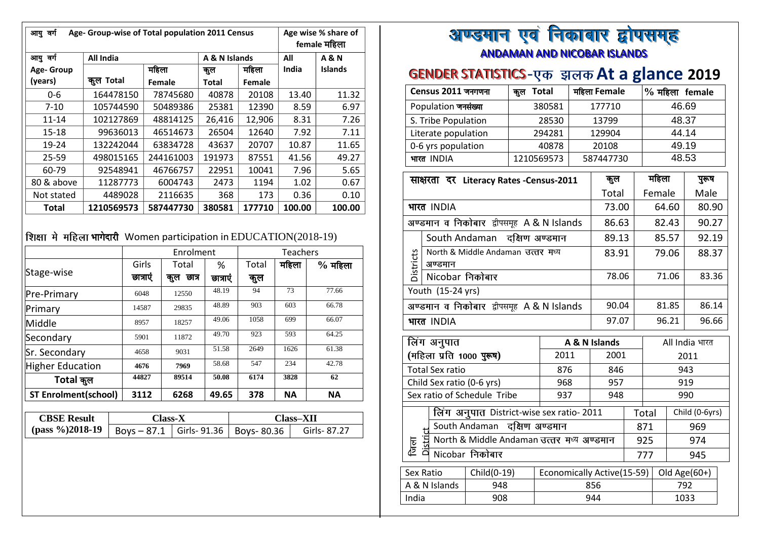| Age- Group-wise of Total population 2011 Census<br>आयु वर्ग |            |           |               |        |        | Age wise % share of<br>female महिला |
|-------------------------------------------------------------|------------|-----------|---------------|--------|--------|-------------------------------------|
| आयु वर्ग                                                    | All India  |           | A & N Islands |        | All    | <b>A&amp;N</b>                      |
| Age-Group                                                   |            | महिला     | कुल           | महिला  | India  | <b>Islands</b>                      |
| (years)                                                     | कुल Total  | Female    | Total         | Female |        |                                     |
| 0-6                                                         | 164478150  | 78745680  | 40878         | 20108  | 13.40  | 11.32                               |
| $7 - 10$                                                    | 105744590  | 50489386  | 25381         | 12390  | 8.59   | 6.97                                |
| 11-14                                                       | 102127869  | 48814125  | 26,416        | 12,906 | 8.31   | 7.26                                |
| $15 - 18$                                                   | 99636013   | 46514673  | 26504         | 12640  | 7.92   | 7.11                                |
| 19-24                                                       | 132242044  | 63834728  | 43637         | 20707  | 10.87  | 11.65                               |
| 25-59                                                       | 498015165  | 244161003 | 191973        | 87551  | 41.56  | 49.27                               |
| 60-79                                                       | 92548941   | 46766757  | 22951         | 10041  | 7.96   | 5.65                                |
| 80 & above                                                  | 11287773   | 6004743   | 2473          | 1194   | 1.02   | 0.67                                |
| Not stated                                                  | 4489028    | 2116635   |               | 173    | 0.36   | 0.10                                |
| Total                                                       | 1210569573 | 587447730 | 380581        | 177710 | 100.00 | 100.00                              |

### शिक्षा मे महिला भागेदारी Women participation in EDUCATION(2018-19)

|                             |          | Enrolment    |         |       | <b>Teachers</b> |           |
|-----------------------------|----------|--------------|---------|-------|-----------------|-----------|
|                             | Girls    | Total        | %       | Total | महिला           | $%$ महिला |
| Stage-wise                  | छात्राएं | ন্তাস<br>कुल | छात्राए | कुल   |                 |           |
| Pre-Primary                 | 6048     | 12550        | 48.19   | 94    | 73              | 77.66     |
| Primary                     | 14587    | 29835        | 48.89   | 903   | 603             | 66.78     |
| Middle                      | 8957     | 18257        | 49.06   | 1058  | 699             | 66.07     |
| Secondary                   | 5901     | 11872        | 49.70   | 923   | 593             | 64.25     |
| Sr. Secondary               | 4658     | 9031         | 51.58   | 2649  | 1626            | 61.38     |
| <b>Higher Education</b>     | 4676     | 7969         | 58.68   | 547   | 234             | 42.78     |
| Total कुल                   | 44827    | 89514        | 50.08   | 6174  | 3828            | 62        |
| <b>ST Enrolment(school)</b> | 3112     | 6268         | 49.65   | 378   | <b>NA</b>       | <b>NA</b> |

| <b>CBSE Result</b>                                           | $Class-X$ |  | <b>Class-XII</b> |
|--------------------------------------------------------------|-----------|--|------------------|
| (pass %)2018-19   Boys - 87.1   Girls- 91.36   Boys- 80.36 ' |           |  | Girls-87.27      |

# अण्डमान एवं निकाबार द्वोपसमुह <u>ANDAMAN AND NICOBAR ISLANDS</u>

## **GENDER STATISTICS-एक झलक At a glance 2019**

| Census 2011 जनगणना  | Total<br>कल | महिला Female | $%$ महिला female |
|---------------------|-------------|--------------|------------------|
| Population जनसंख्या | 380581      | 177710       | 46.69            |
| S. Tribe Population | 28530       | 13799        | 48.37            |
| Literate population | 294281      | 129904       | 44.14            |
| 0-6 yrs population  | 40878       | 20108        | 49.19            |
| भारत INDIA          | 1210569573  | 587447730    | 48.53            |

|                                                       |        |                                                                                  |                                                                                                                                                                           | कुल                                                                                                                                                                                                |                                                                                                                       |                                                                                                                                                                  |                                                   | पुरूष           |                                                  |
|-------------------------------------------------------|--------|----------------------------------------------------------------------------------|---------------------------------------------------------------------------------------------------------------------------------------------------------------------------|----------------------------------------------------------------------------------------------------------------------------------------------------------------------------------------------------|-----------------------------------------------------------------------------------------------------------------------|------------------------------------------------------------------------------------------------------------------------------------------------------------------|---------------------------------------------------|-----------------|--------------------------------------------------|
|                                                       |        |                                                                                  |                                                                                                                                                                           |                                                                                                                                                                                                    |                                                                                                                       |                                                                                                                                                                  |                                                   | Male            |                                                  |
|                                                       |        |                                                                                  |                                                                                                                                                                           |                                                                                                                                                                                                    |                                                                                                                       | 64.60<br>80.90<br>82.43<br>90.27<br>92.19<br>85.57<br>79.06<br>71.06<br>83.36<br>86.14<br>81.85<br>96.21<br>96.66<br>All India भारत<br>2011<br>943<br>919<br>990 |                                                   |                 |                                                  |
|                                                       |        |                                                                                  |                                                                                                                                                                           |                                                                                                                                                                                                    |                                                                                                                       |                                                                                                                                                                  |                                                   |                 |                                                  |
|                                                       |        |                                                                                  |                                                                                                                                                                           | 89.13                                                                                                                                                                                              |                                                                                                                       |                                                                                                                                                                  |                                                   |                 |                                                  |
| North & Middle Andaman उत्तर मध्य<br><b>Districts</b> |        |                                                                                  |                                                                                                                                                                           |                                                                                                                                                                                                    |                                                                                                                       | 88.37                                                                                                                                                            |                                                   |                 |                                                  |
|                                                       |        |                                                                                  |                                                                                                                                                                           | 78.06                                                                                                                                                                                              |                                                                                                                       |                                                                                                                                                                  |                                                   |                 |                                                  |
|                                                       |        |                                                                                  |                                                                                                                                                                           |                                                                                                                                                                                                    |                                                                                                                       |                                                                                                                                                                  |                                                   |                 |                                                  |
|                                                       |        |                                                                                  |                                                                                                                                                                           |                                                                                                                                                                                                    |                                                                                                                       |                                                                                                                                                                  |                                                   |                 |                                                  |
|                                                       |        |                                                                                  |                                                                                                                                                                           |                                                                                                                                                                                                    |                                                                                                                       |                                                                                                                                                                  |                                                   |                 |                                                  |
|                                                       |        |                                                                                  |                                                                                                                                                                           |                                                                                                                                                                                                    |                                                                                                                       |                                                                                                                                                                  |                                                   |                 |                                                  |
|                                                       |        |                                                                                  | 2011                                                                                                                                                                      |                                                                                                                                                                                                    |                                                                                                                       |                                                                                                                                                                  |                                                   |                 |                                                  |
|                                                       |        |                                                                                  | 876                                                                                                                                                                       | 846                                                                                                                                                                                                |                                                                                                                       |                                                                                                                                                                  |                                                   |                 |                                                  |
|                                                       |        |                                                                                  | 968                                                                                                                                                                       | 957                                                                                                                                                                                                |                                                                                                                       |                                                                                                                                                                  |                                                   |                 |                                                  |
|                                                       |        |                                                                                  | 937                                                                                                                                                                       | 948                                                                                                                                                                                                |                                                                                                                       |                                                                                                                                                                  |                                                   |                 |                                                  |
|                                                       |        |                                                                                  |                                                                                                                                                                           |                                                                                                                                                                                                    |                                                                                                                       |                                                                                                                                                                  |                                                   |                 |                                                  |
|                                                       |        |                                                                                  |                                                                                                                                                                           |                                                                                                                                                                                                    |                                                                                                                       |                                                                                                                                                                  |                                                   | 969             |                                                  |
|                                                       |        |                                                                                  |                                                                                                                                                                           |                                                                                                                                                                                                    | 925<br>974                                                                                                            |                                                                                                                                                                  |                                                   |                 |                                                  |
|                                                       |        |                                                                                  |                                                                                                                                                                           |                                                                                                                                                                                                    |                                                                                                                       | 945                                                                                                                                                              |                                                   |                 |                                                  |
|                                                       |        | Child(0-19)                                                                      |                                                                                                                                                                           |                                                                                                                                                                                                    |                                                                                                                       |                                                                                                                                                                  |                                                   |                 |                                                  |
|                                                       |        | 948                                                                              |                                                                                                                                                                           |                                                                                                                                                                                                    |                                                                                                                       |                                                                                                                                                                  |                                                   |                 |                                                  |
| India                                                 |        | 908                                                                              |                                                                                                                                                                           |                                                                                                                                                                                                    |                                                                                                                       |                                                                                                                                                                  |                                                   |                 |                                                  |
|                                                       | Distri | भारत INDIA<br>अण्डमान<br>भारत INDIA<br>लिंग अनुपात<br>Sex Ratio<br>A & N Islands | Nicobar निकोबार<br>Youth (15-24 yrs)<br>(महिला प्रति 1000 पुरूष)<br><b>Total Sex ratio</b><br>Child Sex ratio (0-6 yrs)<br>Sex ratio of Schedule Tribe<br>Nicobar निकोबार | साक्षरता दर Literacy Rates - Census-2011<br>अण्डमान व निकोबार द्वीपसमूह A & N Islands<br>South Andaman दक्षिण अण्डमान<br>अण्डमान व निकोबार द्वीपसमूह A & N Islands<br>South Andaman दक्षिण अण्डमान | A & N Islands<br>लिंग अनुपात District-wise sex ratio- 2011<br>North & Middle Andaman उत्तर मध्य अण्डमान<br>856<br>944 | Total<br>73.00<br>86.63<br>83.91<br>90.04<br>97.07<br>2001                                                                                                       | Total<br>871<br>777<br>Economically Active(15-59) | महिला<br>Female | Child (0-6yrs)<br>Old Age $(60+)$<br>792<br>1033 |